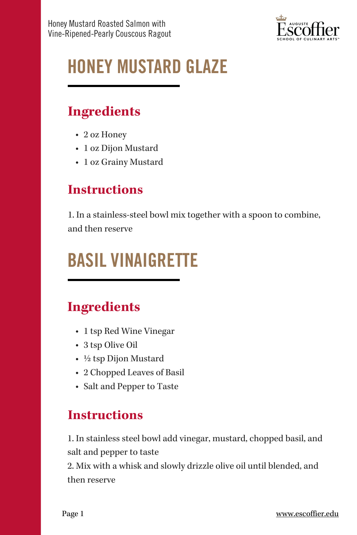

# HONEY MUSTARD GLAZE

## **Ingredients**

- 2 oz Honey
- 1 oz Dijon Mustard
- 1 oz Grainy Mustard

## **Instructions**

1. In a stainless-steel bowl mix together with a spoon to combine, and then reserve

## BASIL VINAIGRETTE

## **Ingredients**

- 1 tsp Red Wine Vinegar
- 3 tsp Olive Oil
- ½ tsp Dijon Mustard
- 2 Chopped Leaves of Basil
- Salt and Pepper to Taste

## **Instructions**

1. In stainless steel bowl add vinegar, mustard, chopped basil, and salt and pepper to taste

2. Mix with a whisk and slowly drizzle olive oil until blended, and then reserve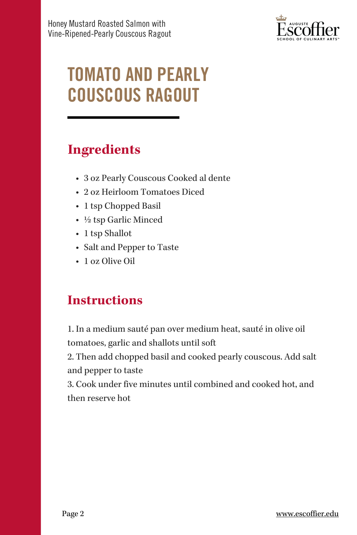

## TOMATO AND PEARLY COUSCOUS RAGOUT

#### **Ingredients**

- 3 oz Pearly Couscous Cooked al dente
- 2 oz Heirloom Tomatoes Diced
- 1 tsp Chopped Basil
- ½ tsp Garlic Minced
- 1 tsp Shallot
- Salt and Pepper to Taste
- 1 oz Olive Oil

## **Instructions**

1. In a medium sauté pan over medium heat, sauté in olive oil tomatoes, garlic and shallots until soft

2. Then add chopped basil and cooked pearly couscous. Add salt and pepper to taste

3. Cook under five minutes until combined and cooked hot, and then reserve hot